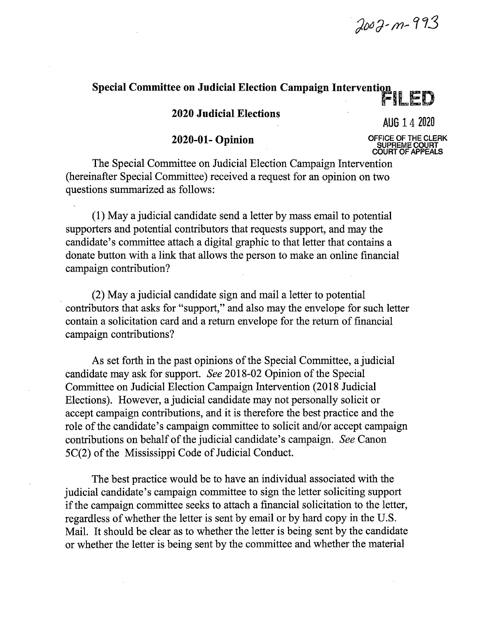2002-m-993

## **Special Committee on Judicial Election Campaign Intervention**

**2020 Judicial Elections** 

AUG 14 <sup>2020</sup>

## **2020-01- Opinion** OFFICE OF THE CLERK

**SUPREME COURT COURT OF APPEALS** 

The Special Committee on Judicial Election Campaign Intervention (hereinafter Special Committee) received a request for an opinion on two questions summarized as follows:

(1) May a judicial candidate send a letter by mass email to potential supporters and potential contributors that requests support, and may the candidate's committee attach a digital graphic to that letter that contains a donate button with a link that allows the person to make an online financial campaign contribution?

(2) May a judicial candidate sign and mail a letter to potential contributors that asks for "support," and also may the envelope for such letter contain a solicitation card and a return envelope for the return of financial campaign contributions?

As set forth in the past opinions of the Special Committee, a judicial candidate may ask for support. *See* 2018-02 Opinion of the Special Committee on Judicial Election Campaign Intervention (2018 Judicial Elections). However, a judicial candidate may not personally solicit or accept campaign contributions, and it is therefore the best practice and the role of the candidate's campaign committee to solicit and/or accept campaign contributions on behalf of the judicial candidate's campaign. *See* Canon 5C(2) of the Mississippi Code of Judicial Conduct.

The best practice would be to have an individual associated with the judicial candidate's campaign committee to sign the letter soliciting support if the campaign committee seeks to attach a financial solicitation to the letter, regardless of whether the letter is sent by email or by hard copy in the U.S. Mail. It should be clear as to whether the letter is being sent by the candidate or whether the letter is being sent by the committee and whether the material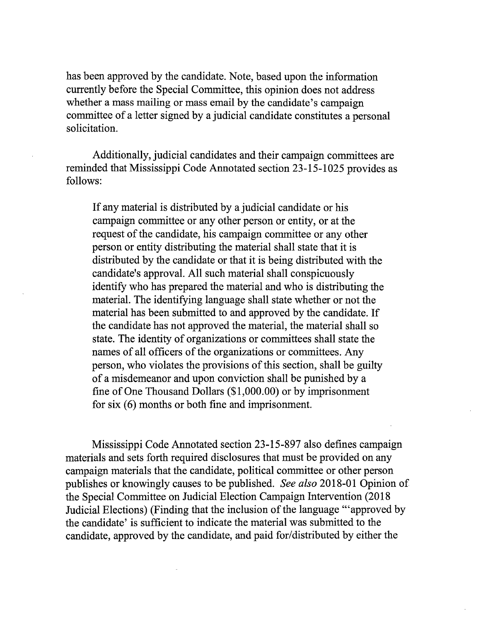has been approved by the candidate. Note, based upon the information currently before the Special Committee, this opinion does not address whether a mass mailing or mass email by the candidate's campaign committee of a letter signed by a judicial candidate constitutes a personal solicitation.

Additionally, judicial candidates and their campaign committees are reminded that Mississippi Code Annotated section 23-15-1025 provides as follows:

If any material is distributed by a judicial candidate or his campaign committee or any other person or entity, or at the request of the candidate, his campaign committee or any other person or entity distributing the material shall state that it is distributed by the candidate or that it is being distributed with the candidate's approval. All such material shall conspicuously identify who has prepared the material and who is distributing the material. The identifying language shall state whether or not the material has been submitted to and approved by the candidate. If the candidate has not approved the material, the material shall so state. The identity of organizations or committees shall state the names of all officers of the organizations or committees. Any person, who violates the provisions of this section, shall be guilty of a misdemeanor and upon conviction shall be punished by a fine of One Thousand Dollars (\$1,000.00) or by imprisonment for six  $(6)$  months or both fine and imprisonment.

Mississippi Code Annotated section 23-15-897 also defines campaign materials and sets forth required disclosures that must be provided on any campaign materials that the candidate, political committee or other person publishes or knowingly causes to be published. *See also* 2018-01 Opinion of the Special Committee on Judicial Election Campaign Intervention (2018 Judicial Elections) (Finding that the inclusion of the language '"approved by the candidate' is sufficient to indicate the material was submitted to the candidate, approved by the candidate, and paid for/distributed by either the